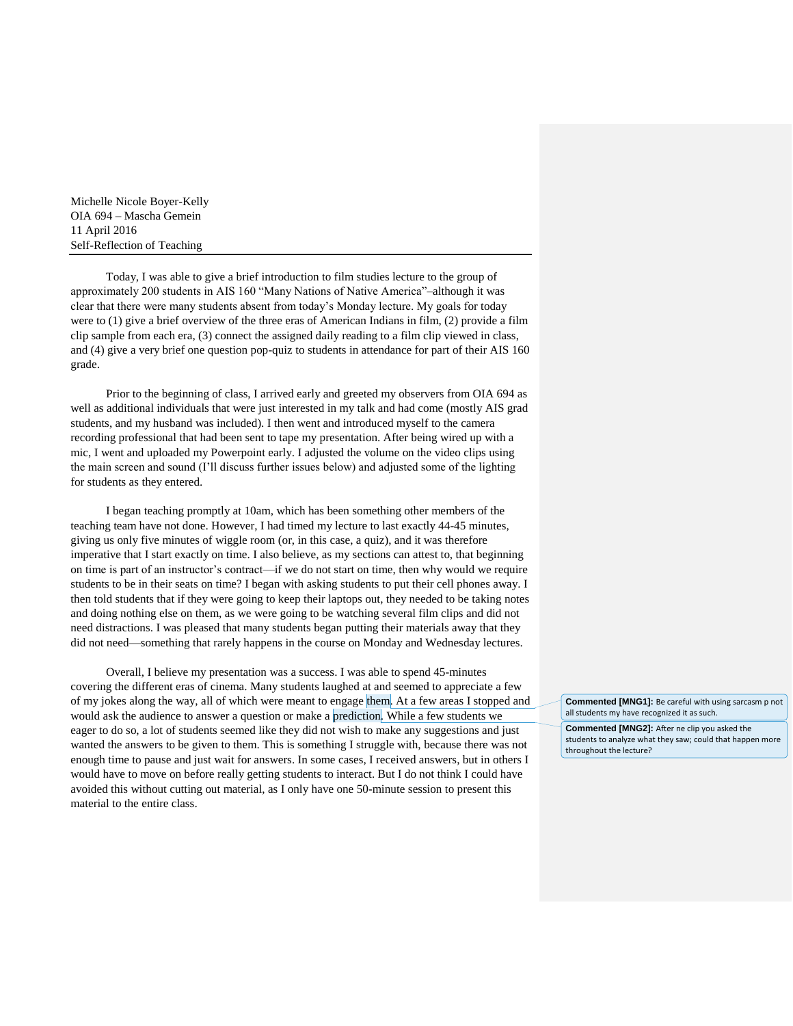Michelle Nicole Boyer-Kelly OIA 694 – Mascha Gemein 11 April 2016 Self-Reflection of Teaching

Today, I was able to give a brief introduction to film studies lecture to the group of approximately 200 students in AIS 160 "Many Nations of Native America"–although it was clear that there were many students absent from today's Monday lecture. My goals for today were to (1) give a brief overview of the three eras of American Indians in film, (2) provide a film clip sample from each era, (3) connect the assigned daily reading to a film clip viewed in class, and (4) give a very brief one question pop-quiz to students in attendance for part of their AIS 160 grade.

Prior to the beginning of class, I arrived early and greeted my observers from OIA 694 as well as additional individuals that were just interested in my talk and had come (mostly AIS grad students, and my husband was included). I then went and introduced myself to the camera recording professional that had been sent to tape my presentation. After being wired up with a mic, I went and uploaded my Powerpoint early. I adjusted the volume on the video clips using the main screen and sound (I'll discuss further issues below) and adjusted some of the lighting for students as they entered.

I began teaching promptly at 10am, which has been something other members of the teaching team have not done. However, I had timed my lecture to last exactly 44-45 minutes, giving us only five minutes of wiggle room (or, in this case, a quiz), and it was therefore imperative that I start exactly on time. I also believe, as my sections can attest to, that beginning on time is part of an instructor's contract—if we do not start on time, then why would we require students to be in their seats on time? I began with asking students to put their cell phones away. I then told students that if they were going to keep their laptops out, they needed to be taking notes and doing nothing else on them, as we were going to be watching several film clips and did not need distractions. I was pleased that many students began putting their materials away that they did not need—something that rarely happens in the course on Monday and Wednesday lectures.

Overall, I believe my presentation was a success. I was able to spend 45-minutes covering the different eras of cinema. Many students laughed at and seemed to appreciate a few of my jokes along the way, all of which were meant to engage them. At a few areas I stopped and would ask the audience to answer a question or make a prediction. While a few students we eager to do so, a lot of students seemed like they did not wish to make any suggestions and just wanted the answers to be given to them. This is something I struggle with, because there was not enough time to pause and just wait for answers. In some cases, I received answers, but in others I would have to move on before really getting students to interact. But I do not think I could have avoided this without cutting out material, as I only have one 50-minute session to present this material to the entire class.

**Commented [MNG1]:** Be careful with using sarcasm p not all students my have recognized it as such.

**Commented [MNG2]:** After ne clip you asked the students to analyze what they saw; could that happen more throughout the lecture?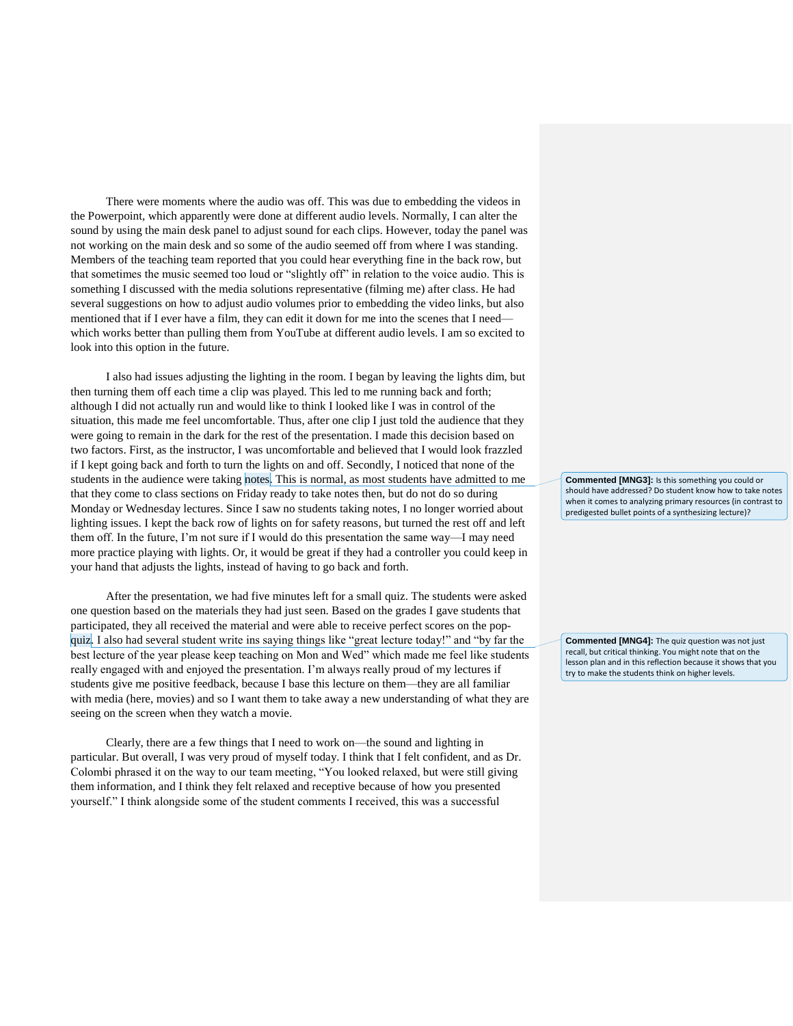There were moments where the audio was off. This was due to embedding the videos in the Powerpoint, which apparently were done at different audio levels. Normally, I can alter the sound by using the main desk panel to adjust sound for each clips. However, today the panel was not working on the main desk and so some of the audio seemed off from where I was standing. Members of the teaching team reported that you could hear everything fine in the back row, but that sometimes the music seemed too loud or "slightly off" in relation to the voice audio. This is something I discussed with the media solutions representative (filming me) after class. He had several suggestions on how to adjust audio volumes prior to embedding the video links, but also mentioned that if I ever have a film, they can edit it down for me into the scenes that I need which works better than pulling them from YouTube at different audio levels. I am so excited to look into this option in the future.

I also had issues adjusting the lighting in the room. I began by leaving the lights dim, but then turning them off each time a clip was played. This led to me running back and forth; although I did not actually run and would like to think I looked like I was in control of the situation, this made me feel uncomfortable. Thus, after one clip I just told the audience that they were going to remain in the dark for the rest of the presentation. I made this decision based on two factors. First, as the instructor, I was uncomfortable and believed that I would look frazzled if I kept going back and forth to turn the lights on and off. Secondly, I noticed that none of the students in the audience were taking notes. This is normal, as most students have admitted to me that they come to class sections on Friday ready to take notes then, but do not do so during Monday or Wednesday lectures. Since I saw no students taking notes, I no longer worried about lighting issues. I kept the back row of lights on for safety reasons, but turned the rest off and left them off. In the future, I'm not sure if I would do this presentation the same way—I may need more practice playing with lights. Or, it would be great if they had a controller you could keep in your hand that adjusts the lights, instead of having to go back and forth.

After the presentation, we had five minutes left for a small quiz. The students were asked one question based on the materials they had just seen. Based on the grades I gave students that participated, they all received the material and were able to receive perfect scores on the popquiz. I also had several student write ins saying things like "great lecture today!" and "by far the best lecture of the year please keep teaching on Mon and Wed" which made me feel like students really engaged with and enjoyed the presentation. I'm always really proud of my lectures if students give me positive feedback, because I base this lecture on them—they are all familiar with media (here, movies) and so I want them to take away a new understanding of what they are seeing on the screen when they watch a movie.

Clearly, there are a few things that I need to work on—the sound and lighting in particular. But overall, I was very proud of myself today. I think that I felt confident, and as Dr. Colombi phrased it on the way to our team meeting, "You looked relaxed, but were still giving them information, and I think they felt relaxed and receptive because of how you presented yourself." I think alongside some of the student comments I received, this was a successful

**Commented [MNG3]:** Is this something you could or should have addressed? Do student know how to take notes when it comes to analyzing primary resources (in contrast to predigested bullet points of a synthesizing lecture)?

**Commented [MNG4]:** The quiz question was not just recall, but critical thinking. You might note that on the lesson plan and in this reflection because it shows that you try to make the students think on higher levels.